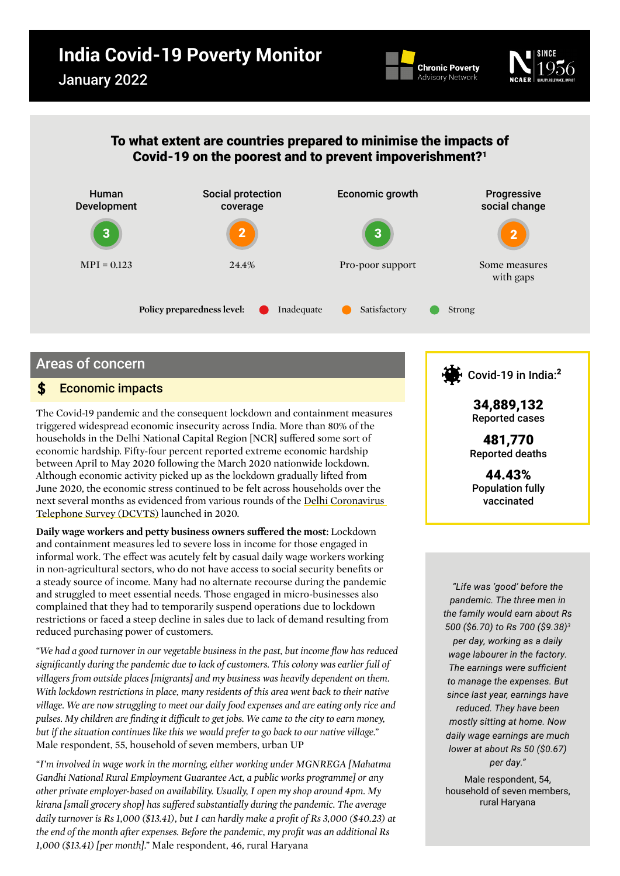# **India Covid-19 Poverty Monitor**





# To what extent are countries prepared to minimise the impacts of Covid-19 on the poorest and to prevent impoverishment[?1](#page-6-0)



# Areas of concern

#### Economic impacts  $\mathbf{s}$

The Covid-19 pandemic and the consequent lockdown and containment measures triggered widespread economic insecurity across India. More than 80% of the households in the Delhi National Capital Region [NCR] suffered some sort of economic hardship. Fifty-four percent reported extreme economic hardship between April to May 2020 following the March 2020 nationwide lockdown. Although economic activity picked up as the lockdown gradually lifted from June 2020, the economic stress continued to be felt across households over the next several months as evidenced from various rounds of the [Delhi Coronavirus](https://www.ncaer.org/data_details.php?dID=28)  [Telephone Survey \(DCVTS\)](https://www.ncaer.org/data_details.php?dID=28) launched in 2020.

**Daily wage workers and petty business owners suffered the most:** Lockdown and containment measures led to severe loss in income for those engaged in informal work. The effect was acutely felt by casual daily wage workers working in non-agricultural sectors, who do not have access to social security benefits or a steady source of income. Many had no alternate recourse during the pandemic and struggled to meet essential needs. Those engaged in micro-businesses also complained that they had to temporarily suspend operations due to lockdown restrictions or faced a steep decline in sales due to lack of demand resulting from reduced purchasing power of customers.

*"We had a good turnover in our vegetable business in the past, but income flow has reduced significantly during the pandemic due to lack of customers. This colony was earlier full of villagers from outside places [migrants] and my business was heavily dependent on them. With lockdown restrictions in place, many residents of this area went back to their native village. We are now struggling to meet our daily food expenses and are eating only rice and pulses. My children are finding it difficult to get jobs. We came to the city to earn money, but if the situation continues like this we would prefer to go back to our native village."*  Male respondent, 55, household of seven members, urban UP

*"I'm involved in wage work in the morning, either working under MGNREGA [Mahatma Gandhi National Rural Employment Guarantee Act, a public works programme] or any other private employer-based on availability. Usually, I open my shop around 4pm. My kirana [small grocery shop] has suffered substantially during the pandemic. The average daily turnover is Rs 1,000 (\$13.41), but I can hardly make a profit of Rs 3,000 (\$40.23) at the end of the month after expenses. Before the pandemic, my profit was an additional Rs 1,000 (\$13.41) [per month]."* Male respondent, 46, rural Haryana



Reported cases

481,770 Reported deaths

44.43% Population fully vaccinated

*"Life was 'good' before the pandemic. The three men in the family would earn about Rs 500 (\$6.70) to Rs 700 (\$9.38)[3](#page-6-2) per day, working as a daily wage labourer in the factory. The earnings were sufficient to manage the expenses. But since last year, earnings have reduced. They have been mostly sitting at home. Now daily wage earnings are much lower at about Rs 50 (\$0.67) per day."*

Male respondent, 54, household of seven members, rural Haryana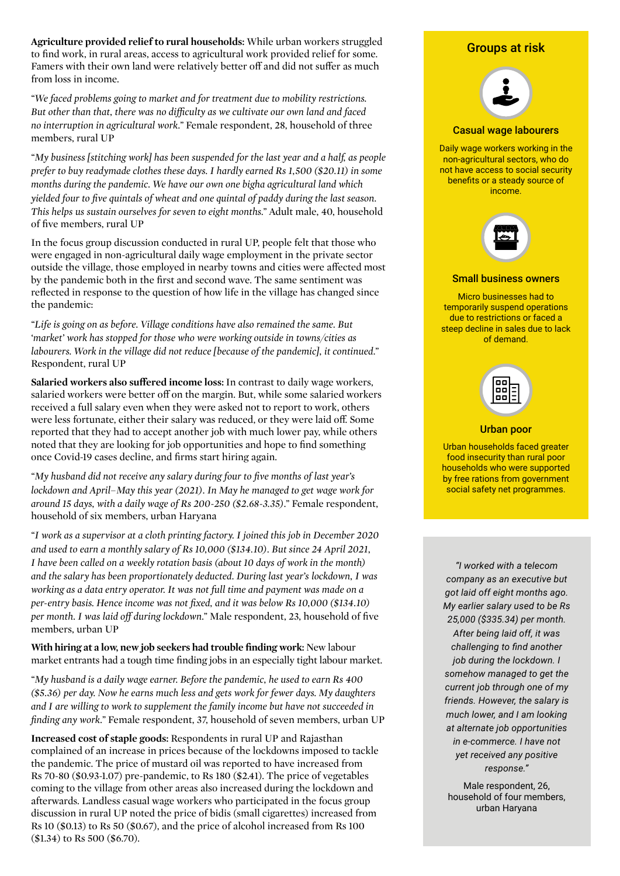**Agriculture provided relief to rural households:** While urban workers struggled to find work, in rural areas, access to agricultural work provided relief for some. Famers with their own land were relatively better off and did not suffer as much from loss in income.

*"We faced problems going to market and for treatment due to mobility restrictions. But other than that, there was no difficulty as we cultivate our own land and faced no interruption in agricultural work."* Female respondent, 28, household of three members, rural UP

*"My business [stitching work] has been suspended for the last year and a half, as people prefer to buy readymade clothes these days. I hardly earned Rs 1,500 (\$20.11) in some months during the pandemic. We have our own one bigha agricultural land which yielded four to five quintals of wheat and one quintal of paddy during the last season. This helps us sustain ourselves for seven to eight months."* Adult male, 40, household of five members, rural UP

In the focus group discussion conducted in rural UP, people felt that those who were engaged in non-agricultural daily wage employment in the private sector outside the village, those employed in nearby towns and cities were affected most by the pandemic both in the first and second wave. The same sentiment was reflected in response to the question of how life in the village has changed since the pandemic:

*"Life is going on as before. Village conditions have also remained the same. But 'market' work has stopped for those who were working outside in towns/cities as labourers. Work in the village did not reduce [because of the pandemic], it continued."* Respondent, rural UP

**Salaried workers also suffered income loss:** In contrast to daily wage workers, salaried workers were better off on the margin. But, while some salaried workers received a full salary even when they were asked not to report to work, others were less fortunate, either their salary was reduced, or they were laid off. Some reported that they had to accept another job with much lower pay, while others noted that they are looking for job opportunities and hope to find something once Covid-19 cases decline, and firms start hiring again.

*"My husband did not receive any salary during four to five months of last year's lockdown and April–May this year (2021). In May he managed to get wage work for around 15 days, with a daily wage of Rs 200-250 (\$2.68-3.35)."* Female respondent, household of six members, urban Haryana

*"I work as a supervisor at a cloth printing factory. I joined this job in December 2020 and used to earn a monthly salary of Rs 10,000 (\$134.10). But since 24 April 2021, I have been called on a weekly rotation basis (about 10 days of work in the month) and the salary has been proportionately deducted. During last year's lockdown, I was working as a data entry operator. It was not full time and payment was made on a per-entry basis. Hence income was not fixed, and it was below Rs 10,000 (\$134.10) per month. I was laid off during lockdown."* Male respondent, 23, household of five members, urban UP

**With hiring at a low, new job seekers had trouble finding work:** New labour market entrants had a tough time finding jobs in an especially tight labour market.

*"My husband is a daily wage earner. Before the pandemic, he used to earn Rs 400 (\$5.36) per day. Now he earns much less and gets work for fewer days. My daughters and I are willing to work to supplement the family income but have not succeeded in finding any work."* Female respondent, 37, household of seven members, urban UP

**Increased cost of staple goods:** Respondents in rural UP and Rajasthan complained of an increase in prices because of the lockdowns imposed to tackle the pandemic. The price of mustard oil was reported to have increased from Rs 70-80 (\$0.93-1.07) pre-pandemic, to Rs 180 (\$2.41). The price of vegetables coming to the village from other areas also increased during the lockdown and afterwards. Landless casual wage workers who participated in the focus group discussion in rural UP noted the price of bidis (small cigarettes) increased from Rs 10 (\$0.13) to Rs 50 (\$0.67), and the price of alcohol increased from Rs 100 (\$1.34) to Rs 500 (\$6.70).

## Groups at risk



#### Casual wage labourers

Daily wage workers working in the non-agricultural sectors, who do not have access to social security benefits or a steady source of income.



#### Small business owners

Micro businesses had to temporarily suspend operations due to restrictions or faced a steep decline in sales due to lack of demand.



#### Urban poor

Urban households faced greater food insecurity than rural poor households who were supported by free rations from government social safety net programmes.

*"I worked with a telecom company as an executive but got laid off eight months ago. My earlier salary used to be Rs 25,000 (\$335.34) per month. After being laid off, it was challenging to find another job during the lockdown. I somehow managed to get the current job through one of my friends. However, the salary is much lower, and I am looking at alternate job opportunities in e-commerce. I have not yet received any positive response."* 

Male respondent, 26, household of four members, urban Haryana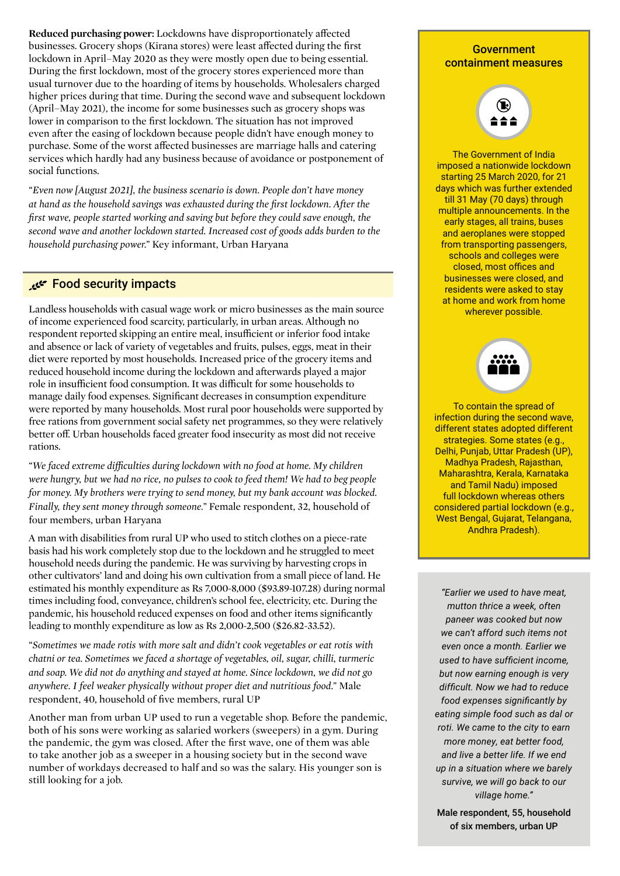**Reduced purchasing power:** Lockdowns have disproportionately affected businesses. Grocery shops (Kirana stores) were least affected during the first lockdown in April–May 2020 as they were mostly open due to being essential. During the first lockdown, most of the grocery stores experienced more than usual turnover due to the hoarding of items by households. Wholesalers charged higher prices during that time. During the second wave and subsequent lockdown (April–May 2021), the income for some businesses such as grocery shops was lower in comparison to the first lockdown. The situation has not improved even after the easing of lockdown because people didn't have enough money to purchase. Some of the worst affected businesses are marriage halls and catering services which hardly had any business because of avoidance or postponement of social functions.

*"Even now [August 2021], the business scenario is down. People don't have money at hand as the household savings was exhausted during the first lockdown. After the first wave, people started working and saving but before they could save enough, the second wave and another lockdown started. Increased cost of goods adds burden to the household purchasing power."* Key informant, Urban Haryana

## Food security impacts

Landless households with casual wage work or micro businesses as the main source of income experienced food scarcity, particularly, in urban areas. Although no respondent reported skipping an entire meal, insufficient or inferior food intake and absence or lack of variety of vegetables and fruits, pulses, eggs, meat in their diet were reported by most households. Increased price of the grocery items and reduced household income during the lockdown and afterwards played a major role in insufficient food consumption. It was difficult for some households to manage daily food expenses. Significant decreases in consumption expenditure were reported by many households. Most rural poor households were supported by free rations from government social safety net programmes, so they were relatively better off. Urban households faced greater food insecurity as most did not receive rations.

*"We faced extreme difficulties during lockdown with no food at home. My children were hungry, but we had no rice, no pulses to cook to feed them! We had to beg people for money. My brothers were trying to send money, but my bank account was blocked. Finally, they sent money through someone."* Female respondent, 32, household of four members, urban Haryana

A man with disabilities from rural UP who used to stitch clothes on a piece-rate basis had his work completely stop due to the lockdown and he struggled to meet household needs during the pandemic. He was surviving by harvesting crops in other cultivators' land and doing his own cultivation from a small piece of land. He estimated his monthly expenditure as Rs 7,000-8,000 (\$93.89-107.28) during normal times including food, conveyance, children's school fee, electricity, etc. During the pandemic, his household reduced expenses on food and other items significantly leading to monthly expenditure as low as Rs 2,000-2,500 (\$26.82-33.52).

*"Sometimes we made rotis with more salt and didn't cook vegetables or eat rotis with chatni or tea. Sometimes we faced a shortage of vegetables, oil, sugar, chilli, turmeric and soap. We did not do anything and stayed at home. Since lockdown, we did not go anywhere. I feel weaker physically without proper diet and nutritious food."* Male respondent, 40, household of five members, rural UP

Another man from urban UP used to run a vegetable shop. Before the pandemic, both of his sons were working as salaried workers (sweepers) in a gym. During the pandemic, the gym was closed. After the first wave, one of them was able to take another job as a sweeper in a housing society but in the second wave number of workdays decreased to half and so was the salary. His younger son is still looking for a job.

### Government containment measures



The Government of India imposed a nationwide lockdown starting 25 March 2020, for 21 days which was further extended till 31 May (70 days) through multiple announcements. In the early stages, all trains, buses and aeroplanes were stopped from transporting passengers, schools and colleges were closed, most offices and businesses were closed, and residents were asked to stay at home and work from home wherever possible.



To contain the spread of infection during the second wave, different states adopted different strategies. Some states (e.g., Delhi, Punjab, Uttar Pradesh (UP), Madhya Pradesh, Rajasthan, Maharashtra, Kerala, Karnataka and Tamil Nadu) imposed full lockdown whereas others considered partial lockdown (e.g., West Bengal, Gujarat, Telangana, Andhra Pradesh).

*"Earlier we used to have meat, mutton thrice a week, often paneer was cooked but now we can't afford such items not even once a month. Earlier we used to have sufficient income, but now earning enough is very difficult. Now we had to reduce food expenses significantly by eating simple food such as dal or roti. We came to the city to earn more money, eat better food, and live a better life. If we end up in a situation where we barely survive, we will go back to our village home."* 

Male respondent, 55, household of six members, urban UP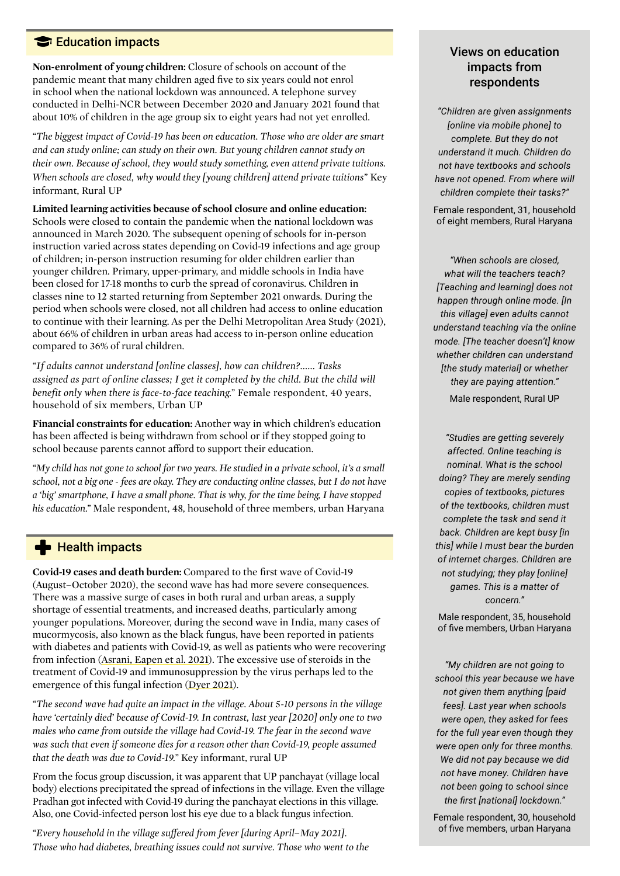# **Education impacts**

**Non-enrolment of young children:** Closure of schools on account of the pandemic meant that many children aged five to six years could not enrol in school when the national lockdown was announced. A telephone survey conducted in Delhi-NCR between December 2020 and January 2021 found that about 10% of children in the age group six to eight years had not yet enrolled.

*"The biggest impact of Covid-19 has been on education. Those who are older are smart and can study online; can study on their own. But young children cannot study on their own. Because of school, they would study something, even attend private tuitions. When schools are closed, why would they [young children] attend private tuitions"* Key informant, Rural UP

**Limited learning activities because of school closure and online education:**  Schools were closed to contain the pandemic when the national lockdown was announced in March 2020. The subsequent opening of schools for in-person instruction varied across states depending on Covid-19 infections and age group of children; in-person instruction resuming for older children earlier than younger children. Primary, upper-primary, and middle schools in India have been closed for 17-18 months to curb the spread of coronavirus. Children in classes nine to 12 started returning from September 2021 onwards. During the period when schools were closed, not all children had access to online education to continue with their learning. As per the Delhi Metropolitan Area Study (2021), about 66% of children in urban areas had access to in-person online education compared to 36% of rural children.

*"If adults cannot understand [online classes], how can children?...... Tasks assigned as part of online classes; I get it completed by the child. But the child will benefit only when there is face-to-face teaching."* Female respondent, 40 years, household of six members, Urban UP

**Financial constraints for education:** Another way in which children's education has been affected is being withdrawn from school or if they stopped going to school because parents cannot afford to support their education.

*"My child has not gone to school for two years. He studied in a private school, it's a small school, not a big one - fees are okay. They are conducting online classes, but I do not have a 'big' smartphone, I have a small phone. That is why, for the time being, I have stopped his education."* Male respondent, 48, household of three members, urban Haryana

# **Health impacts**

**Covid-19 cases and death burden:** Compared to the first wave of Covid-19 (August–October 2020), the second wave has had more severe consequences. There was a massive surge of cases in both rural and urban areas, a supply shortage of essential treatments, and increased deaths, particularly among younger populations. Moreover, during the second wave in India, many cases of mucormycosis, also known as the black fungus, have been reported in patients with diabetes and patients with Covid-19, as well as patients who were recovering from infection ([Asrani, Eapen et al. 2021](https://www.thelancet.com/journals/lanres/article/PIIS2213-2600(21)00312-X/fulltext)). The excessive use of steroids in the treatment of Covid-19 and immunosuppression by the virus perhaps led to the emergence of this fungal infection [\(Dyer 2021\)](https://www.bmj.com/content/373/bmj.n1238).

*"The second wave had quite an impact in the village. About 5-10 persons in the village have 'certainly died' because of Covid-19. In contrast, last year [2020] only one to two males who came from outside the village had Covid-19. The fear in the second wave was such that even if someone dies for a reason other than Covid-19, people assumed that the death was due to Covid-19."* Key informant, rural UP

From the focus group discussion, it was apparent that UP panchayat (village local body) elections precipitated the spread of infections in the village. Even the village Pradhan got infected with Covid-19 during the panchayat elections in this village. Also, one Covid-infected person lost his eye due to a black fungus infection.

*"Every household in the village suffered from fever [during April–May 2021]. Those who had diabetes, breathing issues could not survive. Those who went to the* 

# Views on education impacts from respondents

*"Children are given assignments [online via mobile phone] to complete. But they do not understand it much. Children do not have textbooks and schools have not opened. From where will children complete their tasks?"*

Female respondent, 31, household of eight members, Rural Haryana

*"When schools are closed, what will the teachers teach? [Teaching and learning] does not happen through online mode. [In this village] even adults cannot understand teaching via the online mode. [The teacher doesn't] know whether children can understand [the study material] or whether they are paying attention."* Male respondent, Rural UP

*"Studies are getting severely affected. Online teaching is nominal. What is the school doing? They are merely sending copies of textbooks, pictures of the textbooks, children must complete the task and send it back. Children are kept busy [in this] while I must bear the burden of internet charges. Children are not studying; they play [online] games. This is a matter of concern."*

Male respondent, 35, household of five members, Urban Haryana

*"My children are not going to school this year because we have not given them anything [paid fees]. Last year when schools were open, they asked for fees for the full year even though they were open only for three months. We did not pay because we did not have money. Children have not been going to school since the first [national] lockdown."*

Female respondent, 30, household of five members, urban Haryana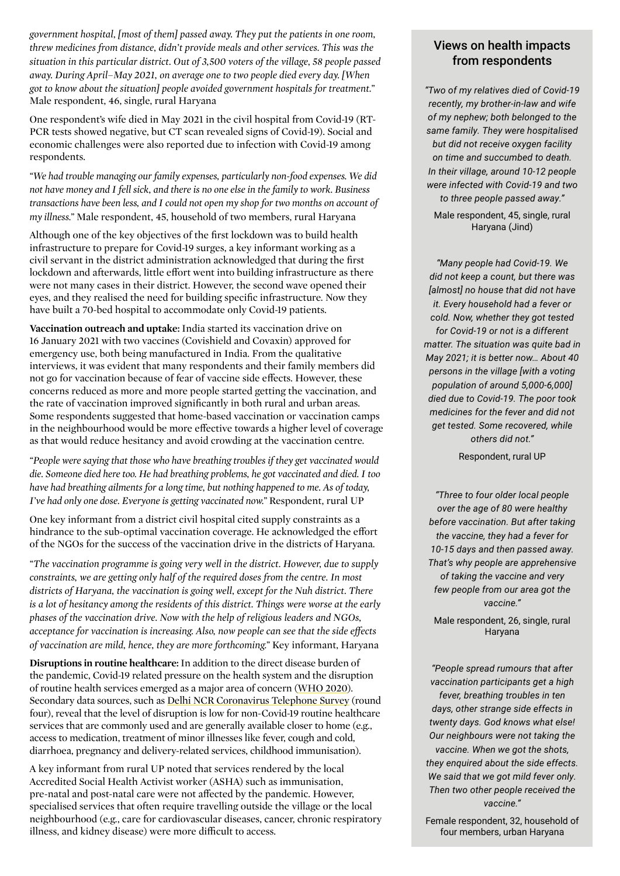*government hospital, [most of them] passed away. They put the patients in one room, threw medicines from distance, didn't provide meals and other services. This was the situation in this particular district. Out of 3,500 voters of the village, 58 people passed away. During April–May 2021, on average one to two people died every day. [When got to know about the situation] people avoided government hospitals for treatment."* Male respondent, 46, single, rural Haryana

One respondent's wife died in May 2021 in the civil hospital from Covid-19 (RT-PCR tests showed negative, but CT scan revealed signs of Covid-19). Social and economic challenges were also reported due to infection with Covid-19 among respondents.

*"We had trouble managing our family expenses, particularly non-food expenses. We did not have money and I fell sick, and there is no one else in the family to work. Business transactions have been less, and I could not open my shop for two months on account of my illness."* Male respondent, 45, household of two members, rural Haryana

Although one of the key objectives of the first lockdown was to build health infrastructure to prepare for Covid-19 surges, a key informant working as a civil servant in the district administration acknowledged that during the first lockdown and afterwards, little effort went into building infrastructure as there were not many cases in their district. However, the second wave opened their eyes, and they realised the need for building specific infrastructure. Now they have built a 70-bed hospital to accommodate only Covid-19 patients.

**Vaccination outreach and uptake:** India started its vaccination drive on 16 January 2021 with two vaccines (Covishield and Covaxin) approved for emergency use, both being manufactured in India. From the qualitative interviews, it was evident that many respondents and their family members did not go for vaccination because of fear of vaccine side effects. However, these concerns reduced as more and more people started getting the vaccination, and the rate of vaccination improved significantly in both rural and urban areas. Some respondents suggested that home-based vaccination or vaccination camps in the neighbourhood would be more effective towards a higher level of coverage as that would reduce hesitancy and avoid crowding at the vaccination centre.

*"People were saying that those who have breathing troubles if they get vaccinated would die. Someone died here too. He had breathing problems, he got vaccinated and died. I too have had breathing ailments for a long time, but nothing happened to me. As of today, I've had only one dose. Everyone is getting vaccinated now."* Respondent, rural UP

One key informant from a district civil hospital cited supply constraints as a hindrance to the sub-optimal vaccination coverage. He acknowledged the effort of the NGOs for the success of the vaccination drive in the districts of Haryana.

*"The vaccination programme is going very well in the district. However, due to supply constraints, we are getting only half of the required doses from the centre. In most districts of Haryana, the vaccination is going well, except for the Nuh district. There is a lot of hesitancy among the residents of this district. Things were worse at the early phases of the vaccination drive. Now with the help of religious leaders and NGOs, acceptance for vaccination is increasing. Also, now people can see that the side effects of vaccination are mild, hence, they are more forthcoming."* Key informant, Haryana

**Disruptions in routine healthcare:** In addition to the direct disease burden of the pandemic, Covid-19 related pressure on the health system and the disruption of routine health services emerged as a major area of concern [\(WHO 2020\)](https://www.who.int/publications/i/item/9789240010291). Secondary data sources, such as [Delhi NCR Coronavirus Telephone Survey](https://www.ncaer.org/image/userfiles/file/DCVTS4/DCVTS4_Presentation.pdf) (round four), reveal that the level of disruption is low for non-Covid-19 routine healthcare services that are commonly used and are generally available closer to home (e.g., access to medication, treatment of minor illnesses like fever, cough and cold, diarrhoea, pregnancy and delivery-related services, childhood immunisation).

A key informant from rural UP noted that services rendered by the local Accredited Social Health Activist worker (ASHA) such as immunisation, pre-natal and post-natal care were not affected by the pandemic. However, specialised services that often require travelling outside the village or the local neighbourhood (e.g., care for cardiovascular diseases, cancer, chronic respiratory illness, and kidney disease) were more difficult to access.

# Views on health impacts from respondents

*"Two of my relatives died of Covid-19 recently, my brother-in-law and wife of my nephew; both belonged to the same family. They were hospitalised but did not receive oxygen facility on time and succumbed to death. In their village, around 10-12 people were infected with Covid-19 and two to three people passed away."*

Male respondent, 45, single, rural Haryana (Jind)

*"Many people had Covid-19. We did not keep a count, but there was [almost] no house that did not have it. Every household had a fever or cold. Now, whether they got tested for Covid-19 or not is a different matter. The situation was quite bad in May 2021; it is better now… About 40 persons in the village [with a voting population of around 5,000-6,000] died due to Covid-19. The poor took medicines for the fever and did not get tested. Some recovered, while others did not."* 

Respondent, rural UP

*"Three to four older local people over the age of 80 were healthy before vaccination. But after taking the vaccine, they had a fever for 10-15 days and then passed away. That's why people are apprehensive of taking the vaccine and very few people from our area got the vaccine."*

Male respondent, 26, single, rural Haryana

*"People spread rumours that after vaccination participants get a high fever, breathing troubles in ten days, other strange side effects in twenty days. God knows what else! Our neighbours were not taking the vaccine. When we got the shots, they enquired about the side effects. We said that we got mild fever only. Then two other people received the vaccine."*

Female respondent, 32, household of four members, urban Haryana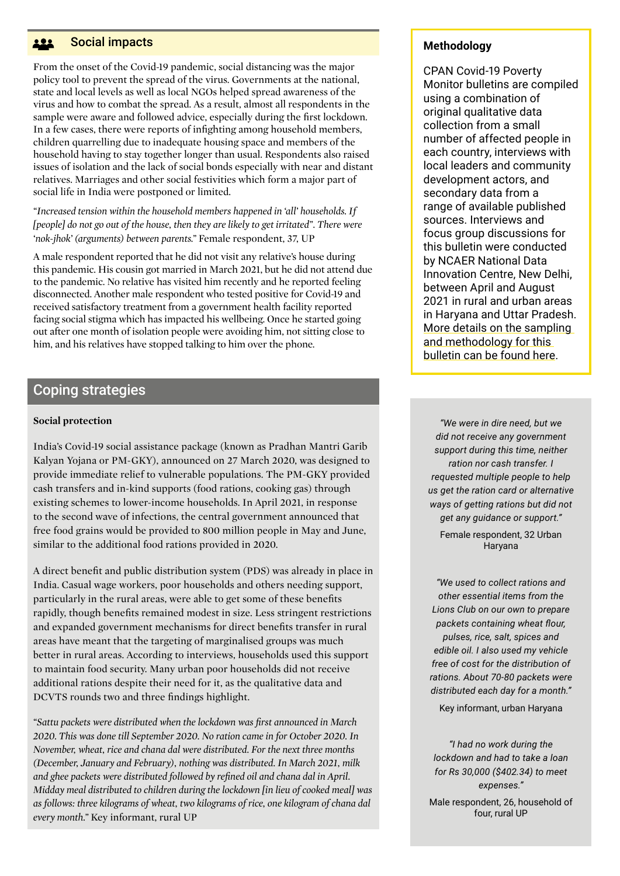#### Social impacts <u>191</u>

From the onset of the Covid-19 pandemic, social distancing was the major policy tool to prevent the spread of the virus. Governments at the national, state and local levels as well as local NGOs helped spread awareness of the virus and how to combat the spread. As a result, almost all respondents in the sample were aware and followed advice, especially during the first lockdown. In a few cases, there were reports of infighting among household members, children quarrelling due to inadequate housing space and members of the household having to stay together longer than usual. Respondents also raised issues of isolation and the lack of social bonds especially with near and distant relatives. Marriages and other social festivities which form a major part of social life in India were postponed or limited.

*"Increased tension within the household members happened in 'all' households. If [people] do not go out of the house, then they are likely to get irritated". There were 'nok-jhok' (arguments) between parents."* Female respondent, 37, UP

A male respondent reported that he did not visit any relative's house during this pandemic. His cousin got married in March 2021, but he did not attend due to the pandemic. No relative has visited him recently and he reported feeling disconnected. Another male respondent who tested positive for Covid-19 and received satisfactory treatment from a government health facility reported facing social stigma which has impacted his wellbeing. Once he started going out after one month of isolation people were avoiding him, not sitting close to him, and his relatives have stopped talking to him over the phone.

# Coping strategies

#### **Social protection**

India's Covid-19 social assistance package (known as Pradhan Mantri Garib Kalyan Yojana or PM-GKY), announced on 27 March 2020, was designed to provide immediate relief to vulnerable populations. The PM-GKY provided cash transfers and in-kind supports (food rations, cooking gas) through existing schemes to lower-income households. In April 2021, in response to the second wave of infections, the central government announced that free food grains would be provided to 800 million people in May and June, similar to the additional food rations provided in 2020.

A direct benefit and public distribution system (PDS) was already in place in India. Casual wage workers, poor households and others needing support, particularly in the rural areas, were able to get some of these benefits rapidly, though benefits remained modest in size. Less stringent restrictions and expanded government mechanisms for direct benefits transfer in rural areas have meant that the targeting of marginalised groups was much better in rural areas. According to interviews, households used this support to maintain food security. Many urban poor households did not receive additional rations despite their need for it, as the qualitative data and DCVTS rounds two and three findings highlight.

*"Sattu packets were distributed when the lockdown was first announced in March 2020. This was done till September 2020. No ration came in for October 2020. In November, wheat, rice and chana dal were distributed. For the next three months (December, January and February), nothing was distributed. In March 2021, milk and ghee packets were distributed followed by refined oil and chana dal in April. Midday meal distributed to children during the lockdown [in lieu of cooked meal] was as follows: three kilograms of wheat, two kilograms of rice, one kilogram of chana dal every month."* Key informant, rural UP

### **Methodology**

CPAN Covid-19 Poverty Monitor bulletins are compiled using a combination of original qualitative data collection from a small number of affected people in each country, interviews with local leaders and community development actors, and secondary data from a range of available published sources. Interviews and focus group discussions for this bulletin were conducted by NCAER National Data Innovation Centre, New Delhi, between April and August 2021 in rural and urban areas in Haryana and Uttar Pradesh. [More details on the sampling](https://www.chronicpovertynetwork.org/covid19-methodology)  [and methodology for this](https://www.chronicpovertynetwork.org/covid19-methodology)  [bulletin can be found here](https://www.chronicpovertynetwork.org/covid19-methodology).

*"We were in dire need, but we did not receive any government support during this time, neither ration nor cash transfer. I requested multiple people to help us get the ration card or alternative ways of getting rations but did not get any guidance or support."* 

Female respondent, 32 Urban Haryana

*"We used to collect rations and other essential items from the Lions Club on our own to prepare packets containing wheat flour, pulses, rice, salt, spices and edible oil. I also used my vehicle free of cost for the distribution of rations. About 70-80 packets were distributed each day for a month."* 

Key informant, urban Haryana

*"I had no work during the lockdown and had to take a loan for Rs 30,000 (\$402.34) to meet expenses."* 

Male respondent, 26, household of four, rural UP